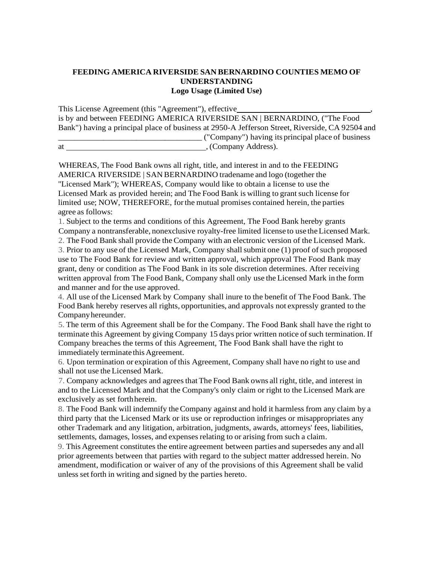## **FEEDING AMERICA RIVERSIDE SAN BERNARDINO COUNTIES MEMO OF UNDERSTANDING Logo Usage (Limited Use)**

This License Agreement (this "Agreement"), effective , is by and between FEEDING AMERICA RIVERSIDE SAN | BERNARDINO, ("The Food Bank") having a principal place of business at 2950-A Jefferson Street, Riverside, CA 92504 and \_\_\_\_\_\_\_\_\_\_\_\_\_\_\_\_\_\_\_\_\_\_\_\_\_\_\_\_\_\_\_\_\_\_\_ ("Company") having its principal place of business

at , (Company Address).

WHEREAS, The Food Bank owns all right, title, and interest in and to the FEEDING AMERICA RIVERSIDE | SAN BERNARDINO tradename and logo (together the "Licensed Mark"); WHEREAS, Company would like to obtain a license to use the Licensed Mark as provided herein; and The Food Bank is willing to grantsuch license for limited use; NOW, THEREFORE, forthe mutual promises contained herein, the parties agree as follows:

1. Subject to the terms and conditions of this Agreement, The Food Bank hereby grants Company a nontransferable, nonexclusive royalty-free limited license to use theLicensed Mark.

2. The Food Bank shall provide theCompany with an electronic version of the Licensed Mark.

3. Prior to any use of the Licensed Mark, Company shall submit one (1) proof of such proposed use to The Food Bank for review and written approval, which approval The Food Bank may grant, deny or condition as The Food Bank in its sole discretion determines. After receiving written approval from The Food Bank, Company shall only use the Licensed Mark in the form and manner and for the use approved.

4. All use of the Licensed Mark by Company shall inure to the benefit of The Food Bank. The Food Bank hereby reserves all rights, opportunities, and approvals not expressly granted to the Companyhereunder.

5. The term of this Agreement shall be for the Company. The Food Bank shall have the right to terminate this Agreement by giving Company 15 days prior written notice of such termination. If Company breaches the terms of this Agreement, The Food Bank shall have the right to immediately terminate this Agreement.

6. Upon termination or expiration of this Agreement, Company shall have no right to use and shall not use the Licensed Mark.

7. Company acknowledges and agreesthat The Food Bank owns all right, title, and interest in and to the Licensed Mark and that the Company's only claim or right to the Licensed Mark are exclusively as set forthherein.

8. The Food Bank will indemnify theCompany against and hold it harmless from any claim by a third party that the Licensed Mark or its use or reproduction infringes or misappropriates any other Trademark and any litigation, arbitration, judgments, awards, attorneys' fees, liabilities, settlements, damages, losses, and expensesrelating to or arising from such a claim.

9. This Agreement constitutes the entire agreement between parties and supersedes any and all prior agreements between that parties with regard to the subject matter addressed herein. No amendment, modification or waiver of any of the provisions of this Agreement shall be valid unless set forth in writing and signed by the parties hereto.